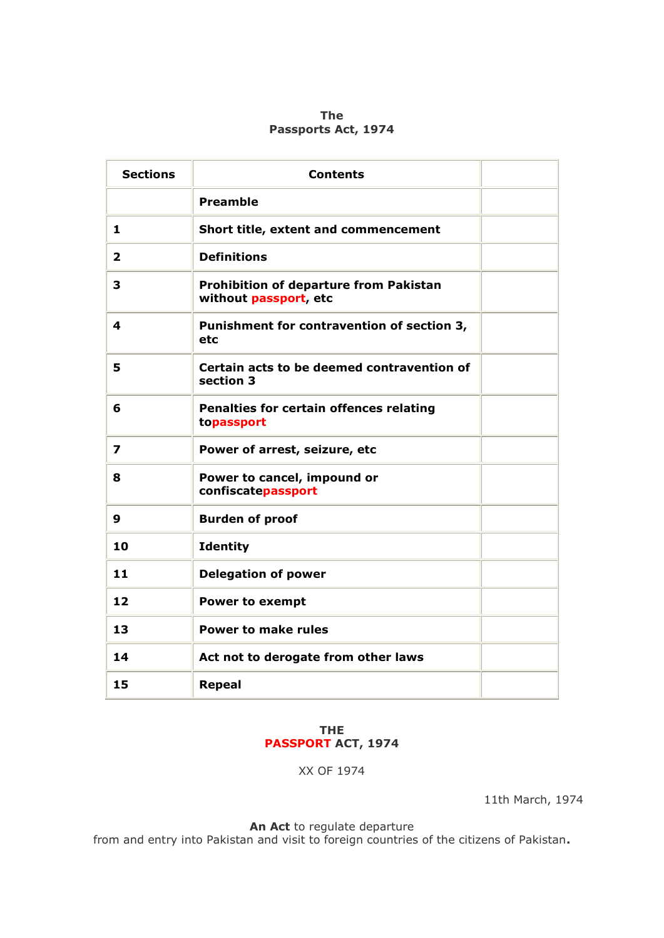## **The Passports Act, 1974**

| <b>Sections</b> | <b>Contents</b>                                                        |  |
|-----------------|------------------------------------------------------------------------|--|
|                 | <b>Preamble</b>                                                        |  |
| 1               | Short title, extent and commencement                                   |  |
| $\mathbf{z}$    | <b>Definitions</b>                                                     |  |
| 3               | <b>Prohibition of departure from Pakistan</b><br>without passport, etc |  |
| 4               | Punishment for contravention of section 3,<br>etc                      |  |
| 5               | Certain acts to be deemed contravention of<br>section 3                |  |
| 6               | Penalties for certain offences relating<br>topassport                  |  |
| 7               | Power of arrest, seizure, etc                                          |  |
| 8               | Power to cancel, impound or<br>confiscatepassport                      |  |
| 9               | <b>Burden of proof</b>                                                 |  |
| 10              | <b>Identity</b>                                                        |  |
| 11              | <b>Delegation of power</b>                                             |  |
| 12              | <b>Power to exempt</b>                                                 |  |
| 13              | <b>Power to make rules</b>                                             |  |
| 14              | Act not to derogate from other laws                                    |  |
| 15              | <b>Repeal</b>                                                          |  |

## **THE PASSPORT ACT, 1974**

XX OF 1974

11th March, 1974

**An Act** to regulate departure

from and entry into Pakistan and visit to foreign countries of the citizens of Pakistan**.**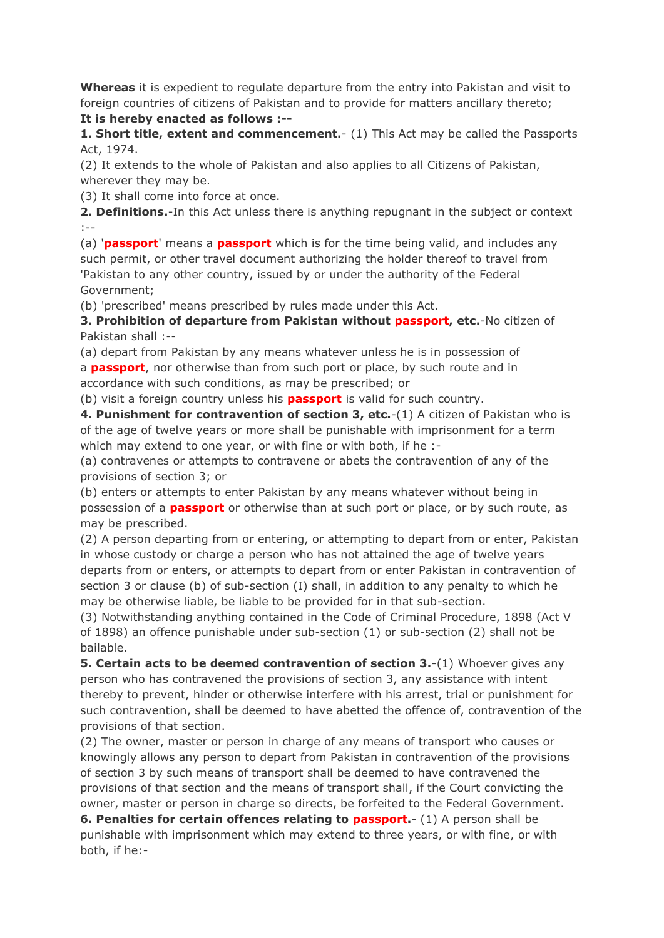**Whereas** it is expedient to regulate departure from the entry into Pakistan and visit to foreign countries of citizens of Pakistan and to provide for matters ancillary thereto;

**It is hereby enacted as follows :--**

**1. Short title, extent and commencement.**- (1) This Act may be called the Passports Act, 1974.

(2) It extends to the whole of Pakistan and also applies to all Citizens of Pakistan, wherever they may be.

(3) It shall come into force at once.

**2. Definitions.**-In this Act unless there is anything repugnant in the subject or context :--

(a) '**passport**' means a **passport** which is for the time being valid, and includes any such permit, or other travel document authorizing the holder thereof to travel from 'Pakistan to any other country, issued by or under the authority of the Federal Government;

(b) 'prescribed' means prescribed by rules made under this Act.

**3. Prohibition of departure from Pakistan without passport, etc.**-No citizen of Pakistan shall :--

(a) depart from Pakistan by any means whatever unless he is in possession of a **passport**, nor otherwise than from such port or place, by such route and in accordance with such conditions, as may be prescribed; or

(b) visit a foreign country unless his **passport** is valid for such country.

**4. Punishment for contravention of section 3, etc.**-(1) A citizen of Pakistan who is of the age of twelve years or more shall be punishable with imprisonment for a term which may extend to one year, or with fine or with both, if he :-

(a) contravenes or attempts to contravene or abets the contravention of any of the provisions of section 3; or

(b) enters or attempts to enter Pakistan by any means whatever without being in possession of a **passport** or otherwise than at such port or place, or by such route, as may be prescribed.

(2) A person departing from or entering, or attempting to depart from or enter, Pakistan in whose custody or charge a person who has not attained the age of twelve years departs from or enters, or attempts to depart from or enter Pakistan in contravention of section 3 or clause (b) of sub-section (I) shall, in addition to any penalty to which he may be otherwise liable, be liable to be provided for in that sub-section.

(3) Notwithstanding anything contained in the Code of Criminal Procedure, 1898 (Act V of 1898) an offence punishable under sub-section (1) or sub-section (2) shall not be bailable.

**5. Certain acts to be deemed contravention of section 3.-(1) Whoever gives any** person who has contravened the provisions of section 3, any assistance with intent thereby to prevent, hinder or otherwise interfere with his arrest, trial or punishment for such contravention, shall be deemed to have abetted the offence of, contravention of the provisions of that section.

(2) The owner, master or person in charge of any means of transport who causes or knowingly allows any person to depart from Pakistan in contravention of the provisions of section 3 by such means of transport shall be deemed to have contravened the provisions of that section and the means of transport shall, if the Court convicting the owner, master or person in charge so directs, be forfeited to the Federal Government. **6. Penalties for certain offences relating to passport.**- (1) A person shall be

punishable with imprisonment which may extend to three years, or with fine, or with both, if he:-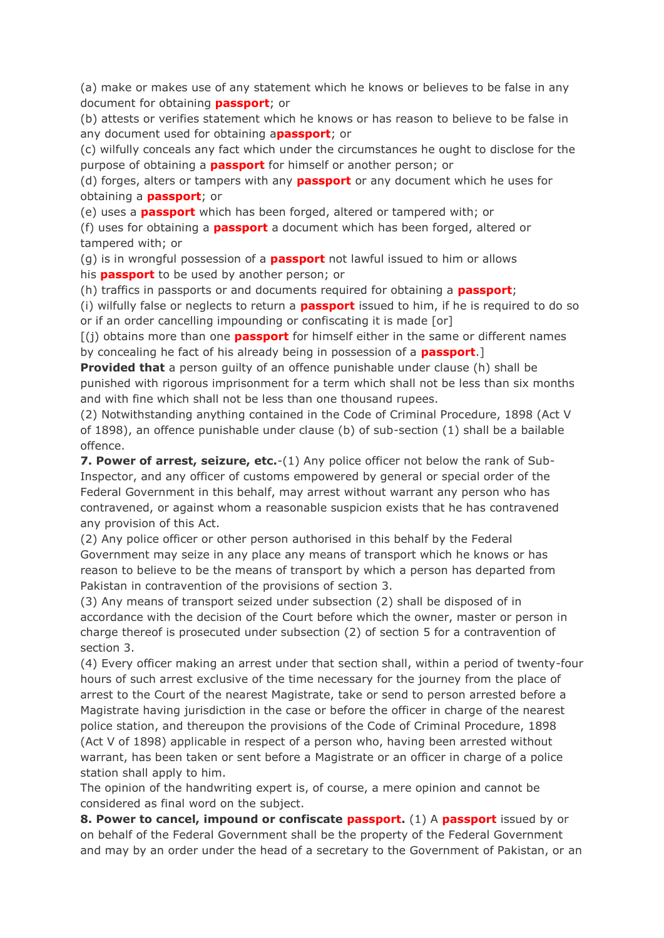(a) make or makes use of any statement which he knows or believes to be false in any document for obtaining **passport**; or

(b) attests or verifies statement which he knows or has reason to believe to be false in any document used for obtaining a**passport**; or

(c) wilfully conceals any fact which under the circumstances he ought to disclose for the purpose of obtaining a **passport** for himself or another person; or

(d) forges, alters or tampers with any **passport** or any document which he uses for obtaining a **passport**; or

(e) uses a **passport** which has been forged, altered or tampered with; or

(f) uses for obtaining a **passport** a document which has been forged, altered or tampered with; or

(g) is in wrongful possession of a **passport** not lawful issued to him or allows his **passport** to be used by another person; or

(h) traffics in passports or and documents required for obtaining a **passport**;

(i) wilfully false or neglects to return a **passport** issued to him, if he is required to do so or if an order cancelling impounding or confiscating it is made [or]

[(j) obtains more than one **passport** for himself either in the same or different names by concealing he fact of his already being in possession of a **passport**.]

**Provided that** a person guilty of an offence punishable under clause (h) shall be punished with rigorous imprisonment for a term which shall not be less than six months and with fine which shall not be less than one thousand rupees.

(2) Notwithstanding anything contained in the Code of Criminal Procedure, 1898 (Act V of 1898), an offence punishable under clause (b) of sub-section (1) shall be a bailable offence.

**7. Power of arrest, seizure, etc.**-(1) Any police officer not below the rank of Sub-Inspector, and any officer of customs empowered by general or special order of the Federal Government in this behalf, may arrest without warrant any person who has contravened, or against whom a reasonable suspicion exists that he has contravened any provision of this Act.

(2) Any police officer or other person authorised in this behalf by the Federal Government may seize in any place any means of transport which he knows or has reason to believe to be the means of transport by which a person has departed from Pakistan in contravention of the provisions of section 3.

(3) Any means of transport seized under subsection (2) shall be disposed of in accordance with the decision of the Court before which the owner, master or person in charge thereof is prosecuted under subsection (2) of section 5 for a contravention of section 3.

(4) Every officer making an arrest under that section shall, within a period of twenty-four hours of such arrest exclusive of the time necessary for the journey from the place of arrest to the Court of the nearest Magistrate, take or send to person arrested before a Magistrate having jurisdiction in the case or before the officer in charge of the nearest police station, and thereupon the provisions of the Code of Criminal Procedure, 1898 (Act V of 1898) applicable in respect of a person who, having been arrested without warrant, has been taken or sent before a Magistrate or an officer in charge of a police station shall apply to him.

The opinion of the handwriting expert is, of course, a mere opinion and cannot be considered as final word on the subject.

**8. Power to cancel, impound or confiscate passport.** (1) A **passport** issued by or on behalf of the Federal Government shall be the property of the Federal Government and may by an order under the head of a secretary to the Government of Pakistan, or an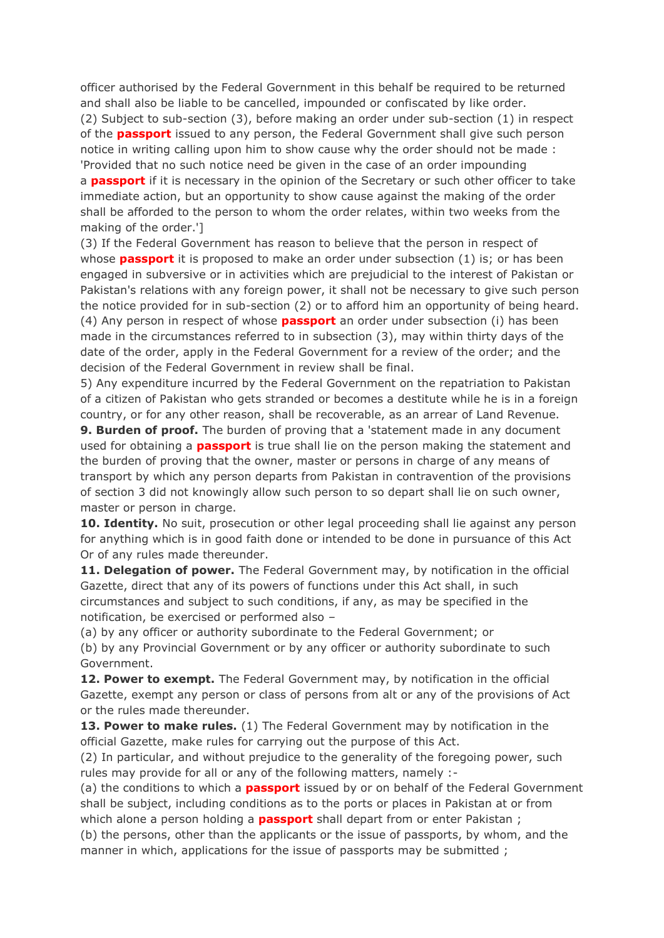officer authorised by the Federal Government in this behalf be required to be returned and shall also be liable to be cancelled, impounded or confiscated by like order. (2) Subject to sub-section (3), before making an order under sub-section (1) in respect of the **passport** issued to any person, the Federal Government shall give such person notice in writing calling upon him to show cause why the order should not be made : 'Provided that no such notice need be given in the case of an order impounding a **passport** if it is necessary in the opinion of the Secretary or such other officer to take immediate action, but an opportunity to show cause against the making of the order shall be afforded to the person to whom the order relates, within two weeks from the making of the order.']

(3) If the Federal Government has reason to believe that the person in respect of whose **passport** it is proposed to make an order under subsection (1) is; or has been engaged in subversive or in activities which are prejudicial to the interest of Pakistan or Pakistan's relations with any foreign power, it shall not be necessary to give such person the notice provided for in sub-section (2) or to afford him an opportunity of being heard. (4) Any person in respect of whose **passport** an order under subsection (i) has been made in the circumstances referred to in subsection (3), may within thirty days of the date of the order, apply in the Federal Government for a review of the order; and the decision of the Federal Government in review shall be final.

5) Any expenditure incurred by the Federal Government on the repatriation to Pakistan of a citizen of Pakistan who gets stranded or becomes a destitute while he is in a foreign country, or for any other reason, shall be recoverable, as an arrear of Land Revenue.

**9. Burden of proof.** The burden of proving that a 'statement made in any document used for obtaining a **passport** is true shall lie on the person making the statement and the burden of proving that the owner, master or persons in charge of any means of transport by which any person departs from Pakistan in contravention of the provisions of section 3 did not knowingly allow such person to so depart shall lie on such owner, master or person in charge.

**10. Identity.** No suit, prosecution or other legal proceeding shall lie against any person for anything which is in good faith done or intended to be done in pursuance of this Act Or of any rules made thereunder.

**11. Delegation of power.** The Federal Government may, by notification in the official Gazette, direct that any of its powers of functions under this Act shall, in such circumstances and subject to such conditions, if any, as may be specified in the notification, be exercised or performed also –

(a) by any officer or authority subordinate to the Federal Government; or

(b) by any Provincial Government or by any officer or authority subordinate to such Government.

**12. Power to exempt.** The Federal Government may, by notification in the official Gazette, exempt any person or class of persons from alt or any of the provisions of Act or the rules made thereunder.

**13. Power to make rules.** (1) The Federal Government may by notification in the official Gazette, make rules for carrying out the purpose of this Act.

(2) In particular, and without prejudice to the generality of the foregoing power, such rules may provide for all or any of the following matters, namely :-

(a) the conditions to which a **passport** issued by or on behalf of the Federal Government shall be subject, including conditions as to the ports or places in Pakistan at or from which alone a person holding a **passport** shall depart from or enter Pakistan ; (b) the persons, other than the applicants or the issue of passports, by whom, and the

manner in which, applications for the issue of passports may be submitted ;